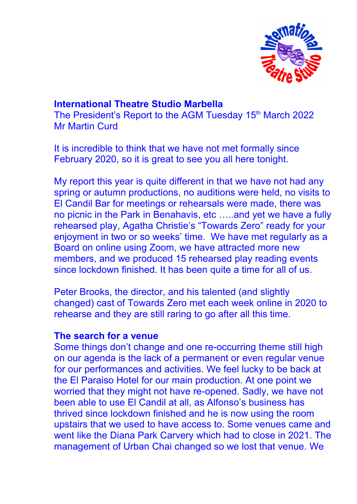

# **International Theatre Studio Marbella**

The President's Report to the AGM Tuesday 15<sup>th</sup> March 2022 Mr Martin Curd

It is incredible to think that we have not met formally since February 2020, so it is great to see you all here tonight.

My report this year is quite different in that we have not had any spring or autumn productions, no auditions were held, no visits to El Candil Bar for meetings or rehearsals were made, there was no picnic in the Park in Benahavis, etc …..and yet we have a fully rehearsed play, Agatha Christie's "Towards Zero" ready for your enjoyment in two or so weeks' time. We have met regularly as a Board on online using Zoom, we have attracted more new members, and we produced 15 rehearsed play reading events since lockdown finished. It has been quite a time for all of us.

Peter Brooks, the director, and his talented (and slightly changed) cast of Towards Zero met each week online in 2020 to rehearse and they are still raring to go after all this time.

### **The search for a venue**

Some things don't change and one re-occurring theme still high on our agenda is the lack of a permanent or even regular venue for our performances and activities. We feel lucky to be back at the El Paraiso Hotel for our main production. At one point we worried that they might not have re-opened. Sadly, we have not been able to use El Candil at all, as Alfonso's business has thrived since lockdown finished and he is now using the room upstairs that we used to have access to. Some venues came and went like the Diana Park Carvery which had to close in 2021. The management of Urban Chai changed so we lost that venue. We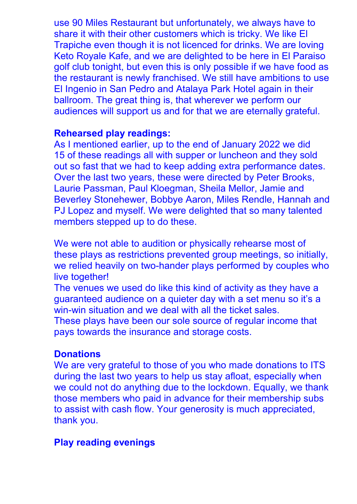use 90 Miles Restaurant but unfortunately, we always have to share it with their other customers which is tricky. We like El Trapiche even though it is not licenced for drinks. We are loving Keto Royale Kafe, and we are delighted to be here in El Paraiso golf club tonight, but even this is only possible if we have food as the restaurant is newly franchised. We still have ambitions to use El Ingenio in San Pedro and Atalaya Park Hotel again in their ballroom. The great thing is, that wherever we perform our audiences will support us and for that we are eternally grateful.

### **Rehearsed play readings:**

As I mentioned earlier, up to the end of January 2022 we did 15 of these readings all with supper or luncheon and they sold out so fast that we had to keep adding extra performance dates. Over the last two years, these were directed by Peter Brooks, Laurie Passman, Paul Kloegman, Sheila Mellor, Jamie and Beverley Stonehewer, Bobbye Aaron, Miles Rendle, Hannah and PJ Lopez and myself. We were delighted that so many talented members stepped up to do these.

We were not able to audition or physically rehearse most of these plays as restrictions prevented group meetings, so initially, we relied heavily on two-hander plays performed by couples who live together!

The venues we used do like this kind of activity as they have a guaranteed audience on a quieter day with a set menu so it's a win-win situation and we deal with all the ticket sales.

These plays have been our sole source of regular income that pays towards the insurance and storage costs.

## **Donations**

We are very grateful to those of you who made donations to ITS during the last two years to help us stay afloat, especially when we could not do anything due to the lockdown. Equally, we thank those members who paid in advance for their membership subs to assist with cash flow. Your generosity is much appreciated, thank you.

## **Play reading evenings**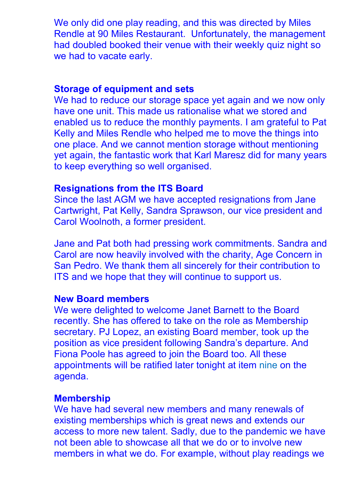We only did one play reading, and this was directed by Miles Rendle at 90 Miles Restaurant. Unfortunately, the management had doubled booked their venue with their weekly quiz night so we had to vacate early.

### **Storage of equipment and sets**

We had to reduce our storage space yet again and we now only have one unit. This made us rationalise what we stored and enabled us to reduce the monthly payments. I am grateful to Pat Kelly and Miles Rendle who helped me to move the things into one place. And we cannot mention storage without mentioning yet again, the fantastic work that Karl Maresz did for many years to keep everything so well organised.

### **Resignations from the ITS Board**

Since the last AGM we have accepted resignations from Jane Cartwright, Pat Kelly, Sandra Sprawson, our vice president and Carol Woolnoth, a former president.

Jane and Pat both had pressing work commitments. Sandra and Carol are now heavily involved with the charity, Age Concern in San Pedro. We thank them all sincerely for their contribution to ITS and we hope that they will continue to support us.

#### **New Board members**

We were delighted to welcome Janet Barnett to the Board recently. She has offered to take on the role as Membership secretary. PJ Lopez, an existing Board member, took up the position as vice president following Sandra's departure. And Fiona Poole has agreed to join the Board too. All these appointments will be ratified later tonight at item nine on the agenda.

#### **Membership**

We have had several new members and many renewals of existing memberships which is great news and extends our access to more new talent. Sadly, due to the pandemic we have not been able to showcase all that we do or to involve new members in what we do. For example, without play readings we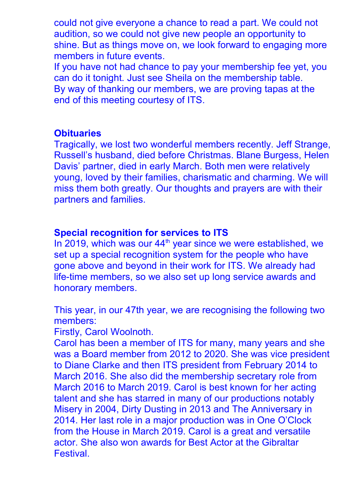could not give everyone a chance to read a part. We could not audition, so we could not give new people an opportunity to shine. But as things move on, we look forward to engaging more members in future events.

If you have not had chance to pay your membership fee yet, you can do it tonight. Just see Sheila on the membership table. By way of thanking our members, we are proving tapas at the end of this meeting courtesy of ITS.

### **Obituaries**

Tragically, we lost two wonderful members recently. Jeff Strange, Russell's husband, died before Christmas. Blane Burgess, Helen Davis' partner, died in early March. Both men were relatively young, loved by their families, charismatic and charming. We will miss them both greatly. Our thoughts and prayers are with their partners and families.

### **Special recognition for services to ITS**

In 2019, which was our 44<sup>th</sup> year since we were established, we set up a special recognition system for the people who have gone above and beyond in their work for ITS. We already had life-time members, so we also set up long service awards and honorary members.

This year, in our 47th year, we are recognising the following two members:

Firstly, Carol Woolnoth.

Carol has been a member of ITS for many, many years and she was a Board member from 2012 to 2020. She was vice president to Diane Clarke and then ITS president from February 2014 to March 2016. She also did the membership secretary role from March 2016 to March 2019. Carol is best known for her acting talent and she has starred in many of our productions notably Misery in 2004, Dirty Dusting in 2013 and The Anniversary in 2014. Her last role in a major production was in One O'Clock from the House in March 2019. Carol is a great and versatile actor. She also won awards for Best Actor at the Gibraltar Festival.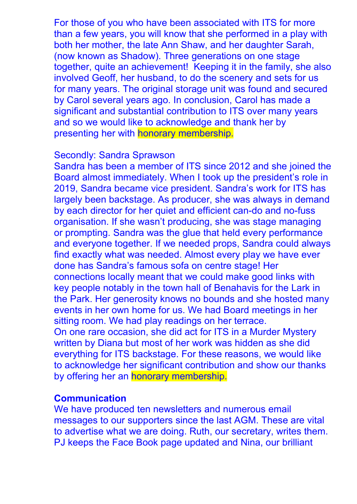For those of you who have been associated with ITS for more than a few years, you will know that she performed in a play with both her mother, the late Ann Shaw, and her daughter Sarah, (now known as Shadow). Three generations on one stage together, quite an achievement! Keeping it in the family, she also involved Geoff, her husband, to do the scenery and sets for us for many years. The original storage unit was found and secured by Carol several years ago. In conclusion, Carol has made a significant and substantial contribution to ITS over many years and so we would like to acknowledge and thank her by presenting her with honorary membership.

### Secondly: Sandra Sprawson

Sandra has been a member of ITS since 2012 and she joined the Board almost immediately. When I took up the president's role in 2019, Sandra became vice president. Sandra's work for ITS has largely been backstage. As producer, she was always in demand by each director for her quiet and efficient can-do and no-fuss organisation. If she wasn't producing, she was stage managing or prompting. Sandra was the glue that held every performance and everyone together. If we needed props, Sandra could always find exactly what was needed. Almost every play we have ever done has Sandra's famous sofa on centre stage! Her connections locally meant that we could make good links with key people notably in the town hall of Benahavis for the Lark in the Park. Her generosity knows no bounds and she hosted many events in her own home for us. We had Board meetings in her sitting room. We had play readings on her terrace. On one rare occasion, she did act for ITS in a Murder Mystery written by Diana but most of her work was hidden as she did everything for ITS backstage. For these reasons, we would like to acknowledge her significant contribution and show our thanks by offering her an honorary membership.

### **Communication**

We have produced ten newsletters and numerous email messages to our supporters since the last AGM. These are vital to advertise what we are doing. Ruth, our secretary, writes them. PJ keeps the Face Book page updated and Nina, our brilliant